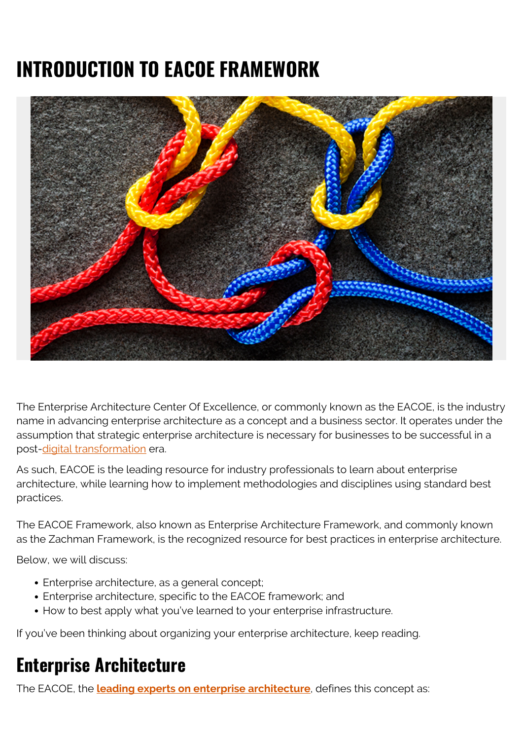# **INTRODUCTION TO EACOE FRAMEWORK**



The Enterprise Architecture Center Of Excellence, or commonly known as the EACOE, is the industry name in advancing enterprise architecture as a concept and a business sector. It operates under the assumption that strategic enterprise architecture is necessary for businesses to be successful in a post[-digital transformation](https://blogs.bmc.com/blogs/what-is-digital-transformation/) era.

As such, EACOE is the leading resource for industry professionals to learn about enterprise architecture, while learning how to implement methodologies and disciplines using standard best practices.

The EACOE Framework, also known as Enterprise Architecture Framework, and commonly known as the Zachman Framework, is the recognized resource for best practices in enterprise architecture.

Below, we will discuss:

- Enterprise architecture, as a general concept;
- Enterprise architecture, specific to the EACOE framework; and
- How to best apply what you've learned to your enterprise infrastructure.

If you've been thinking about organizing your enterprise architecture, keep reading.

# **Enterprise Architecture**

The EACOE, the **[leading experts on enterprise architecture](https://www.eacoe.org/ea-framework)**, defines this concept as: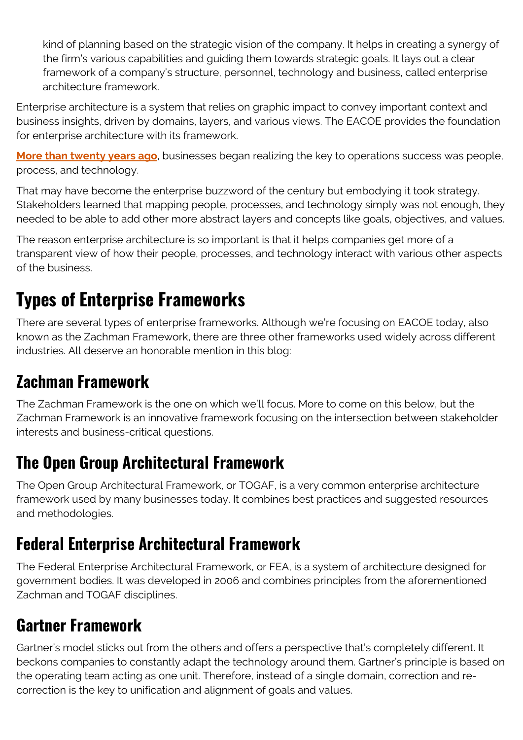kind of planning based on the strategic vision of the company. It helps in creating a synergy of the firm's various capabilities and guiding them towards strategic goals. It lays out a clear framework of a company's structure, personnel, technology and business, called enterprise architecture framework.

Enterprise architecture is a system that relies on graphic impact to convey important context and business insights, driven by domains, layers, and various views. The EACOE provides the foundation for enterprise architecture with its framework.

**[More than twenty years ago](https://web.archive.org/web/20190222090159/https://www3.cis.gsu.edu/dtruex/courses/CIS8090/2013Articles/A%20Comparison%20of%20the%20Top%20Four%20Enterprise-Architecture%20Methodologies.html)**, businesses began realizing the key to operations success was people, process, and technology.

That may have become the enterprise buzzword of the century but embodying it took strategy. Stakeholders learned that mapping people, processes, and technology simply was not enough, they needed to be able to add other more abstract layers and concepts like goals, objectives, and values.

The reason enterprise architecture is so important is that it helps companies get more of a transparent view of how their people, processes, and technology interact with various other aspects of the business.

# **Types of Enterprise Frameworks**

There are several types of enterprise frameworks. Although we're focusing on EACOE today, also known as the Zachman Framework, there are three other frameworks used widely across different industries. All deserve an honorable mention in this blog:

# **Zachman Framework**

The Zachman Framework is the one on which we'll focus. More to come on this below, but the Zachman Framework is an innovative framework focusing on the intersection between stakeholder interests and business-critical questions.

## **The Open Group Architectural Framework**

The Open Group Architectural Framework, or TOGAF, is a very common enterprise architecture framework used by many businesses today. It combines best practices and suggested resources and methodologies.

### **Federal Enterprise Architectural Framework**

The Federal Enterprise Architectural Framework, or FEA, is a system of architecture designed for government bodies. It was developed in 2006 and combines principles from the aforementioned Zachman and TOGAF disciplines.

# **Gartner Framework**

Gartner's model sticks out from the others and offers a perspective that's completely different. It beckons companies to constantly adapt the technology around them. Gartner's principle is based on the operating team acting as one unit. Therefore, instead of a single domain, correction and recorrection is the key to unification and alignment of goals and values.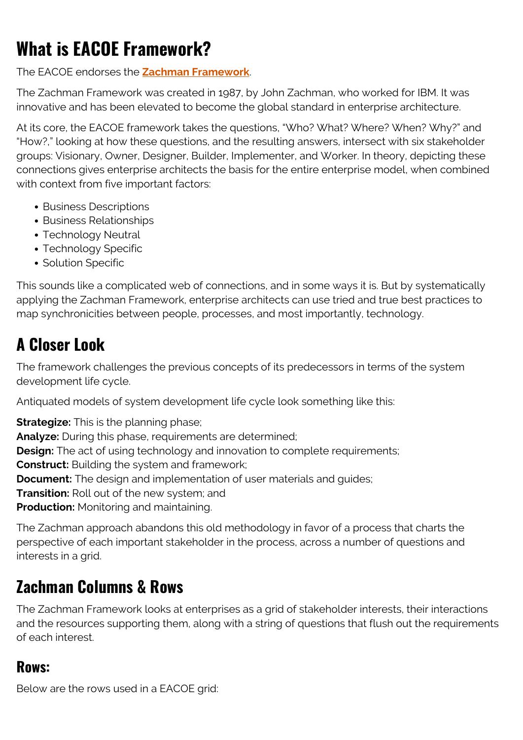# **What is EACOE Framework?**

The EACOE endorses the **[Zachman Framework](https://www.eacoe.org/zachman-framework)**.

The Zachman Framework was created in 1987, by John Zachman, who worked for IBM. It was innovative and has been elevated to become the global standard in enterprise architecture.

At its core, the EACOE framework takes the questions, "Who? What? Where? When? Why?" and "How?," looking at how these questions, and the resulting answers, intersect with six stakeholder groups: Visionary, Owner, Designer, Builder, Implementer, and Worker. In theory, depicting these connections gives enterprise architects the basis for the entire enterprise model, when combined with context from five important factors:

- Business Descriptions
- Business Relationships
- Technology Neutral
- Technology Specific
- Solution Specific

This sounds like a complicated web of connections, and in some ways it is. But by systematically applying the Zachman Framework, enterprise architects can use tried and true best practices to map synchronicities between people, processes, and most importantly, technology.

## **A Closer Look**

The framework challenges the previous concepts of its predecessors in terms of the system development life cycle.

Antiquated models of system development life cycle look something like this:

**Strategize:** This is the planning phase; **Analyze:** During this phase, requirements are determined; **Design:** The act of using technology and innovation to complete requirements; **Construct:** Building the system and framework; **Document:** The design and implementation of user materials and guides; **Transition:** Roll out of the new system; and **Production:** Monitoring and maintaining.

The Zachman approach abandons this old methodology in favor of a process that charts the perspective of each important stakeholder in the process, across a number of questions and interests in a grid.

### **Zachman Columns & Rows**

The Zachman Framework looks at enterprises as a grid of stakeholder interests, their interactions and the resources supporting them, along with a string of questions that flush out the requirements of each interest.

#### **Rows:**

Below are the rows used in a EACOE grid: